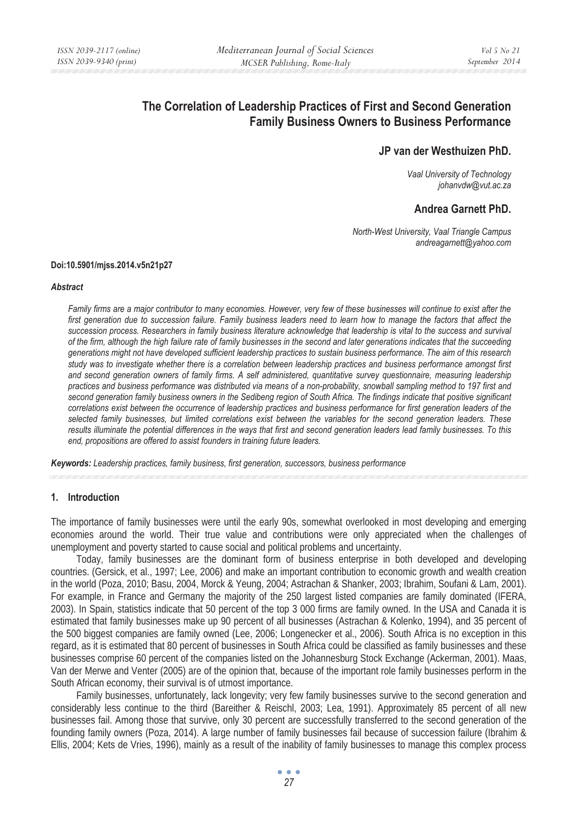# **The Correlation of Leadership Practices of First and Second Generation Family Business Owners to Business Performance**

# **JP van der Westhuizen PhD.**

*Vaal University of Technology johanvdw@vut.ac.za* 

# **Andrea Garnett PhD.**

*North-West University, Vaal Triangle Campus andreagarnett@yahoo.com* 

#### **Doi:10.5901/mjss.2014.v5n21p27**

#### *Abstract*

*Family firms are a major contributor to many economies. However, very few of these businesses will continue to exist after the*  first generation due to succession failure. Family business leaders need to learn how to manage the factors that affect the *succession process. Researchers in family business literature acknowledge that leadership is vital to the success and survival of the firm, although the high failure rate of family businesses in the second and later generations indicates that the succeeding generations might not have developed sufficient leadership practices to sustain business performance. The aim of this research study was to investigate whether there is a correlation between leadership practices and business performance amongst first*  and second generation owners of family firms. A self administered, quantitative survey questionnaire, measuring leadership *practices and business performance was distributed via means of a non-probability, snowball sampling method to 197 first and second generation family business owners in the Sedibeng region of South Africa. The findings indicate that positive significant correlations exist between the occurrence of leadership practices and business performance for first generation leaders of the selected family businesses, but limited correlations exist between the variables for the second generation leaders. These results illuminate the potential differences in the ways that first and second generation leaders lead family businesses. To this end, propositions are offered to assist founders in training future leaders.* 

*Keywords: Leadership practices, family business, first generation, successors, business performance* 

#### **1. Introduction**

The importance of family businesses were until the early 90s, somewhat overlooked in most developing and emerging economies around the world. Their true value and contributions were only appreciated when the challenges of unemployment and poverty started to cause social and political problems and uncertainty.

Today, family businesses are the dominant form of business enterprise in both developed and developing countries. (Gersick, et al., 1997; Lee, 2006) and make an important contribution to economic growth and wealth creation in the world (Poza, 2010; Basu, 2004, Morck & Yeung, 2004; Astrachan & Shanker, 2003; Ibrahim, Soufani & Lam, 2001). For example, in France and Germany the majority of the 250 largest listed companies are family dominated (IFERA, 2003). In Spain, statistics indicate that 50 percent of the top 3 000 firms are family owned. In the USA and Canada it is estimated that family businesses make up 90 percent of all businesses (Astrachan & Kolenko, 1994), and 35 percent of the 500 biggest companies are family owned (Lee, 2006; Longenecker et al., 2006). South Africa is no exception in this regard, as it is estimated that 80 percent of businesses in South Africa could be classified as family businesses and these businesses comprise 60 percent of the companies listed on the Johannesburg Stock Exchange (Ackerman, 2001). Maas, Van der Merwe and Venter (2005) are of the opinion that, because of the important role family businesses perform in the South African economy, their survival is of utmost importance.

Family businesses, unfortunately, lack longevity; very few family businesses survive to the second generation and considerably less continue to the third (Bareither & Reischl, 2003; Lea, 1991). Approximately 85 percent of all new businesses fail. Among those that survive, only 30 percent are successfully transferred to the second generation of the founding family owners (Poza, 2014). A large number of family businesses fail because of succession failure (Ibrahim & Ellis, 2004; Kets de Vries, 1996), mainly as a result of the inability of family businesses to manage this complex process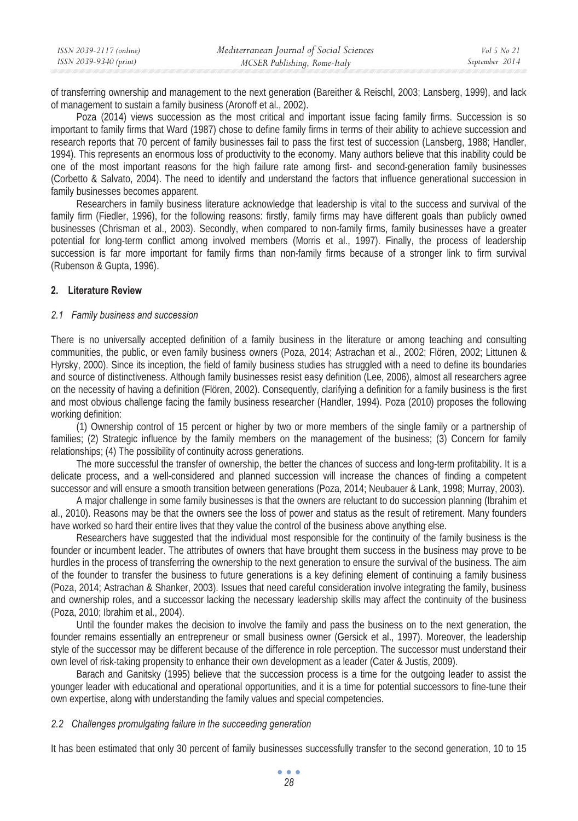| ISSN 2039-2117 (online) | Mediterranean Journal of Social Sciences | Vol 5 No 21    |
|-------------------------|------------------------------------------|----------------|
| ISSN 2039-9340 (print)  | MCSER Publishing, Rome-Italy             | September 2014 |

of transferring ownership and management to the next generation (Bareither & Reischl, 2003; Lansberg, 1999), and lack of management to sustain a family business (Aronoff et al., 2002).

Poza (2014) views succession as the most critical and important issue facing family firms. Succession is so important to family firms that Ward (1987) chose to define family firms in terms of their ability to achieve succession and research reports that 70 percent of family businesses fail to pass the first test of succession (Lansberg, 1988; Handler, 1994). This represents an enormous loss of productivity to the economy. Many authors believe that this inability could be one of the most important reasons for the high failure rate among first- and second-generation family businesses (Corbetto & Salvato, 2004). The need to identify and understand the factors that influence generational succession in family businesses becomes apparent.

Researchers in family business literature acknowledge that leadership is vital to the success and survival of the family firm (Fiedler, 1996), for the following reasons: firstly, family firms may have different goals than publicly owned businesses (Chrisman et al., 2003). Secondly, when compared to non-family firms, family businesses have a greater potential for long-term conflict among involved members (Morris et al., 1997). Finally, the process of leadership succession is far more important for family firms than non-family firms because of a stronger link to firm survival (Rubenson & Gupta, 1996).

#### **2. Literature Review**

#### *2.1 Family business and succession*

There is no universally accepted definition of a family business in the literature or among teaching and consulting communities, the public, or even family business owners (Poza, 2014; Astrachan et al., 2002; Flören, 2002; Littunen & Hyrsky, 2000). Since its inception, the field of family business studies has struggled with a need to define its boundaries and source of distinctiveness. Although family businesses resist easy definition (Lee, 2006), almost all researchers agree on the necessity of having a definition (Flören, 2002). Consequently, clarifying a definition for a family business is the first and most obvious challenge facing the family business researcher (Handler, 1994). Poza (2010) proposes the following working definition:

(1) Ownership control of 15 percent or higher by two or more members of the single family or a partnership of families; (2) Strategic influence by the family members on the management of the business; (3) Concern for family relationships; (4) The possibility of continuity across generations.

The more successful the transfer of ownership, the better the chances of success and long-term profitability. It is a delicate process, and a well-considered and planned succession will increase the chances of finding a competent successor and will ensure a smooth transition between generations (Poza, 2014; Neubauer & Lank, 1998; Murray, 2003).

A major challenge in some family businesses is that the owners are reluctant to do succession planning (Ibrahim et al., 2010). Reasons may be that the owners see the loss of power and status as the result of retirement. Many founders have worked so hard their entire lives that they value the control of the business above anything else.

Researchers have suggested that the individual most responsible for the continuity of the family business is the founder or incumbent leader. The attributes of owners that have brought them success in the business may prove to be hurdles in the process of transferring the ownership to the next generation to ensure the survival of the business. The aim of the founder to transfer the business to future generations is a key defining element of continuing a family business (Poza, 2014; Astrachan & Shanker, 2003). Issues that need careful consideration involve integrating the family, business and ownership roles, and a successor lacking the necessary leadership skills may affect the continuity of the business (Poza, 2010; Ibrahim et al., 2004).

Until the founder makes the decision to involve the family and pass the business on to the next generation, the founder remains essentially an entrepreneur or small business owner (Gersick et al., 1997). Moreover, the leadership style of the successor may be different because of the difference in role perception. The successor must understand their own level of risk-taking propensity to enhance their own development as a leader (Cater & Justis, 2009).

Barach and Ganitsky (1995) believe that the succession process is a time for the outgoing leader to assist the younger leader with educational and operational opportunities, and it is a time for potential successors to fine-tune their own expertise, along with understanding the family values and special competencies.

## *2.2 Challenges promulgating failure in the succeeding generation*

It has been estimated that only 30 percent of family businesses successfully transfer to the second generation, 10 to 15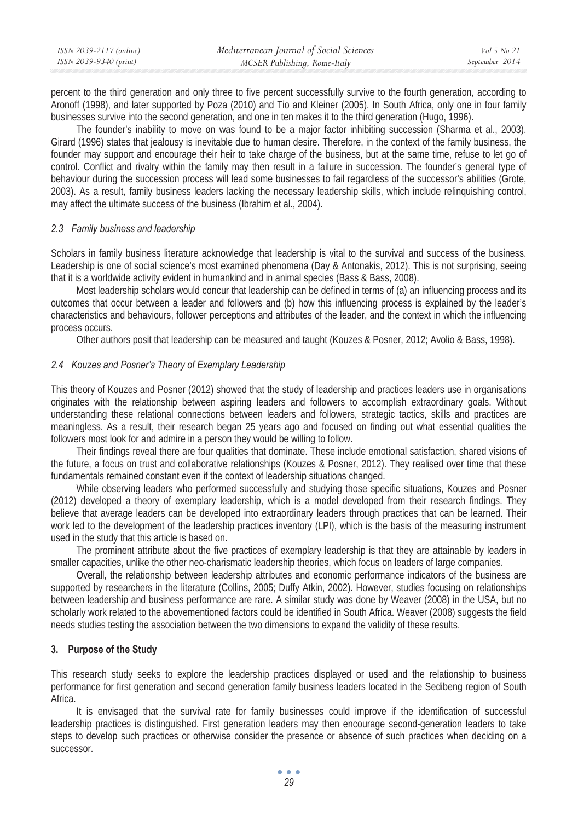| ISSN 2039-2117 (online) | Mediterranean Journal of Social Sciences | Vol 5 No 21    |
|-------------------------|------------------------------------------|----------------|
| ISSN 2039-9340 (print)  | MCSER Publishing, Rome-Italy             | September 2014 |

percent to the third generation and only three to five percent successfully survive to the fourth generation, according to Aronoff (1998), and later supported by Poza (2010) and Tio and Kleiner (2005). In South Africa, only one in four family businesses survive into the second generation, and one in ten makes it to the third generation (Hugo, 1996).

The founder's inability to move on was found to be a major factor inhibiting succession (Sharma et al., 2003). Girard (1996) states that jealousy is inevitable due to human desire. Therefore, in the context of the family business, the founder may support and encourage their heir to take charge of the business, but at the same time, refuse to let go of control. Conflict and rivalry within the family may then result in a failure in succession. The founder's general type of behaviour during the succession process will lead some businesses to fail regardless of the successor's abilities (Grote, 2003). As a result, family business leaders lacking the necessary leadership skills, which include relinquishing control, may affect the ultimate success of the business (Ibrahim et al., 2004).

#### *2.3 Family business and leadership*

Scholars in family business literature acknowledge that leadership is vital to the survival and success of the business. Leadership is one of social science's most examined phenomena (Day & Antonakis, 2012). This is not surprising, seeing that it is a worldwide activity evident in humankind and in animal species (Bass & Bass, 2008).

Most leadership scholars would concur that leadership can be defined in terms of (a) an influencing process and its outcomes that occur between a leader and followers and (b) how this influencing process is explained by the leader's characteristics and behaviours, follower perceptions and attributes of the leader, and the context in which the influencing process occurs.

Other authors posit that leadership can be measured and taught (Kouzes & Posner, 2012; Avolio & Bass, 1998).

### *2.4 Kouzes and Posner's Theory of Exemplary Leadership*

This theory of Kouzes and Posner (2012) showed that the study of leadership and practices leaders use in organisations originates with the relationship between aspiring leaders and followers to accomplish extraordinary goals. Without understanding these relational connections between leaders and followers, strategic tactics, skills and practices are meaningless. As a result, their research began 25 years ago and focused on finding out what essential qualities the followers most look for and admire in a person they would be willing to follow.

Their findings reveal there are four qualities that dominate. These include emotional satisfaction, shared visions of the future, a focus on trust and collaborative relationships (Kouzes & Posner, 2012). They realised over time that these fundamentals remained constant even if the context of leadership situations changed.

While observing leaders who performed successfully and studying those specific situations, Kouzes and Posner (2012) developed a theory of exemplary leadership, which is a model developed from their research findings. They believe that average leaders can be developed into extraordinary leaders through practices that can be learned. Their work led to the development of the leadership practices inventory (LPI), which is the basis of the measuring instrument used in the study that this article is based on.

The prominent attribute about the five practices of exemplary leadership is that they are attainable by leaders in smaller capacities, unlike the other neo-charismatic leadership theories, which focus on leaders of large companies.

Overall, the relationship between leadership attributes and economic performance indicators of the business are supported by researchers in the literature (Collins, 2005; Duffy Atkin, 2002). However, studies focusing on relationships between leadership and business performance are rare. A similar study was done by Weaver (2008) in the USA, but no scholarly work related to the abovementioned factors could be identified in South Africa. Weaver (2008) suggests the field needs studies testing the association between the two dimensions to expand the validity of these results.

## **3. Purpose of the Study**

This research study seeks to explore the leadership practices displayed or used and the relationship to business performance for first generation and second generation family business leaders located in the Sedibeng region of South Africa.

It is envisaged that the survival rate for family businesses could improve if the identification of successful leadership practices is distinguished. First generation leaders may then encourage second-generation leaders to take steps to develop such practices or otherwise consider the presence or absence of such practices when deciding on a successor.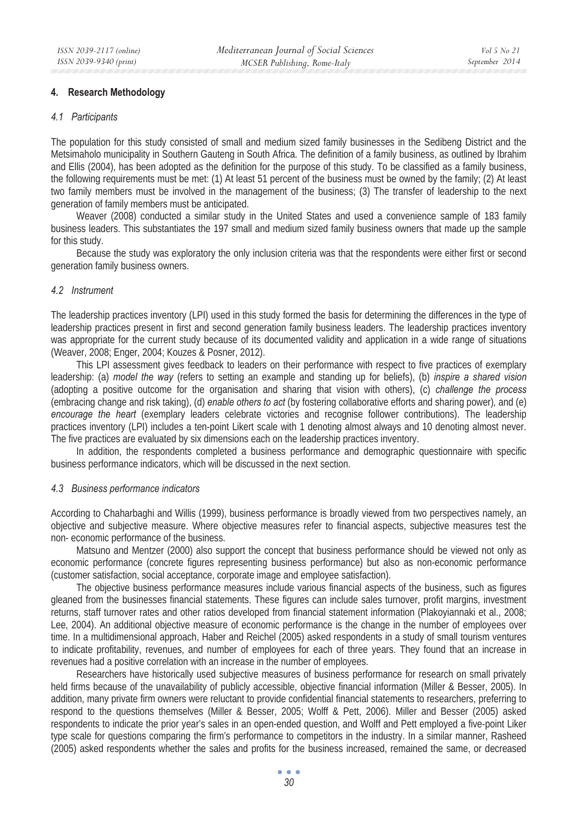# **4. Research Methodology**

#### *4.1 Participants*

The population for this study consisted of small and medium sized family businesses in the Sedibeng District and the Metsimaholo municipality in Southern Gauteng in South Africa. The definition of a family business, as outlined by Ibrahim and Ellis (2004), has been adopted as the definition for the purpose of this study. To be classified as a family business, the following requirements must be met: (1) At least 51 percent of the business must be owned by the family; (2) At least two family members must be involved in the management of the business; (3) The transfer of leadership to the next generation of family members must be anticipated.

Weaver (2008) conducted a similar study in the United States and used a convenience sample of 183 family business leaders. This substantiates the 197 small and medium sized family business owners that made up the sample for this study.

Because the study was exploratory the only inclusion criteria was that the respondents were either first or second generation family business owners.

### *4.2 Instrument*

The leadership practices inventory (LPI) used in this study formed the basis for determining the differences in the type of leadership practices present in first and second generation family business leaders. The leadership practices inventory was appropriate for the current study because of its documented validity and application in a wide range of situations (Weaver, 2008; Enger, 2004; Kouzes & Posner, 2012).

This LPI assessment gives feedback to leaders on their performance with respect to five practices of exemplary leadership: (a) *model the way* (refers to setting an example and standing up for beliefs), (b) *inspire a shared vision*  (adopting a positive outcome for the organisation and sharing that vision with others), (c) *challenge the process*  (embracing change and risk taking), (d) *enable others to act* (by fostering collaborative efforts and sharing power)*,* and (e) *encourage the heart* (exemplary leaders celebrate victories and recognise follower contributions). The leadership practices inventory (LPI) includes a ten-point Likert scale with 1 denoting almost always and 10 denoting almost never. The five practices are evaluated by six dimensions each on the leadership practices inventory.

In addition, the respondents completed a business performance and demographic questionnaire with specific business performance indicators, which will be discussed in the next section.

### *4.3 Business performance indicators*

According to Chaharbaghi and Willis (1999), business performance is broadly viewed from two perspectives namely, an objective and subjective measure. Where objective measures refer to financial aspects, subjective measures test the non- economic performance of the business.

Matsuno and Mentzer (2000) also support the concept that business performance should be viewed not only as economic performance (concrete figures representing business performance) but also as non-economic performance (customer satisfaction, social acceptance, corporate image and employee satisfaction).

The objective business performance measures include various financial aspects of the business, such as figures gleaned from the businesses financial statements. These figures can include sales turnover, profit margins, investment returns, staff turnover rates and other ratios developed from financial statement information (Plakoyiannaki et al., 2008; Lee, 2004). An additional objective measure of economic performance is the change in the number of employees over time. In a multidimensional approach, Haber and Reichel (2005) asked respondents in a study of small tourism ventures to indicate profitability, revenues, and number of employees for each of three years. They found that an increase in revenues had a positive correlation with an increase in the number of employees.

Researchers have historically used subjective measures of business performance for research on small privately held firms because of the unavailability of publicly accessible, objective financial information (Miller & Besser, 2005). In addition, many private firm owners were reluctant to provide confidential financial statements to researchers, preferring to respond to the questions themselves (Miller & Besser, 2005; Wolff & Pett, 2006). Miller and Besser (2005) asked respondents to indicate the prior year's sales in an open-ended question, and Wolff and Pett employed a five-point Liker type scale for questions comparing the firm's performance to competitors in the industry. In a similar manner, Rasheed (2005) asked respondents whether the sales and profits for the business increased, remained the same, or decreased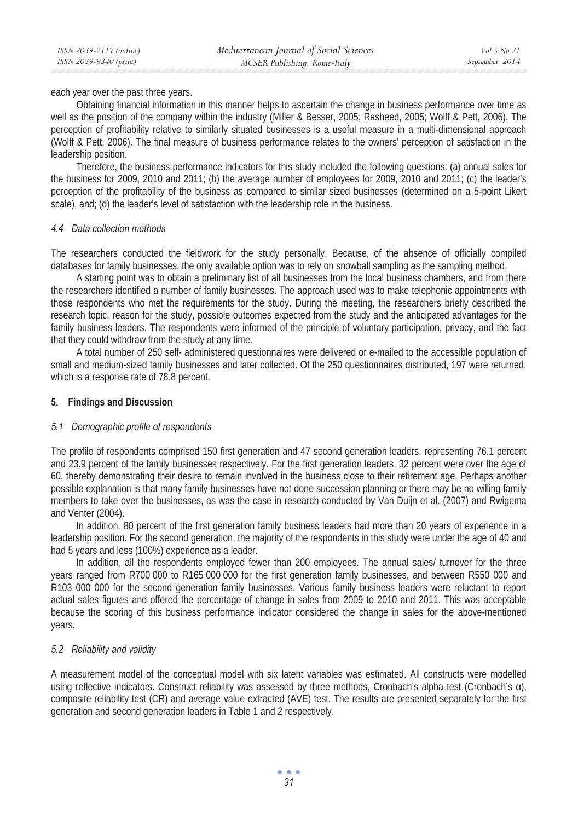each year over the past three years.

Obtaining financial information in this manner helps to ascertain the change in business performance over time as well as the position of the company within the industry (Miller & Besser, 2005; Rasheed, 2005; Wolff & Pett, 2006). The perception of profitability relative to similarly situated businesses is a useful measure in a multi-dimensional approach (Wolff & Pett, 2006). The final measure of business performance relates to the owners' perception of satisfaction in the leadership position.

Therefore, the business performance indicators for this study included the following questions: (a) annual sales for the business for 2009, 2010 and 2011; (b) the average number of employees for 2009, 2010 and 2011; (c) the leader's perception of the profitability of the business as compared to similar sized businesses (determined on a 5-point Likert scale), and; (d) the leader's level of satisfaction with the leadership role in the business.

# *4.4 Data collection methods*

The researchers conducted the fieldwork for the study personally. Because, of the absence of officially compiled databases for family businesses, the only available option was to rely on snowball sampling as the sampling method.

A starting point was to obtain a preliminary list of all businesses from the local business chambers, and from there the researchers identified a number of family businesses. The approach used was to make telephonic appointments with those respondents who met the requirements for the study. During the meeting, the researchers briefly described the research topic, reason for the study, possible outcomes expected from the study and the anticipated advantages for the family business leaders. The respondents were informed of the principle of voluntary participation, privacy, and the fact that they could withdraw from the study at any time.

A total number of 250 self- administered questionnaires were delivered or e-mailed to the accessible population of small and medium-sized family businesses and later collected. Of the 250 questionnaires distributed, 197 were returned, which is a response rate of 78.8 percent.

### **5. Findings and Discussion**

### *5.1 Demographic profile of respondents*

The profile of respondents comprised 150 first generation and 47 second generation leaders, representing 76.1 percent and 23.9 percent of the family businesses respectively. For the first generation leaders, 32 percent were over the age of 60, thereby demonstrating their desire to remain involved in the business close to their retirement age. Perhaps another possible explanation is that many family businesses have not done succession planning or there may be no willing family members to take over the businesses, as was the case in research conducted by Van Duijn et al. (2007) and Rwigema and Venter (2004).

In addition, 80 percent of the first generation family business leaders had more than 20 years of experience in a leadership position. For the second generation, the majority of the respondents in this study were under the age of 40 and had 5 years and less (100%) experience as a leader.

In addition, all the respondents employed fewer than 200 employees. The annual sales/ turnover for the three years ranged from R700 000 to R165 000 000 for the first generation family businesses, and between R550 000 and R103 000 000 for the second generation family businesses. Various family business leaders were reluctant to report actual sales figures and offered the percentage of change in sales from 2009 to 2010 and 2011. This was acceptable because the scoring of this business performance indicator considered the change in sales for the above-mentioned years.

# *5.2 Reliability and validity*

A measurement model of the conceptual model with six latent variables was estimated. All constructs were modelled using reflective indicators. Construct reliability was assessed by three methods, Cronbach's alpha test (Cronbach's  $\alpha$ ), composite reliability test (CR) and average value extracted (AVE) test. The results are presented separately for the first generation and second generation leaders in Table 1 and 2 respectively.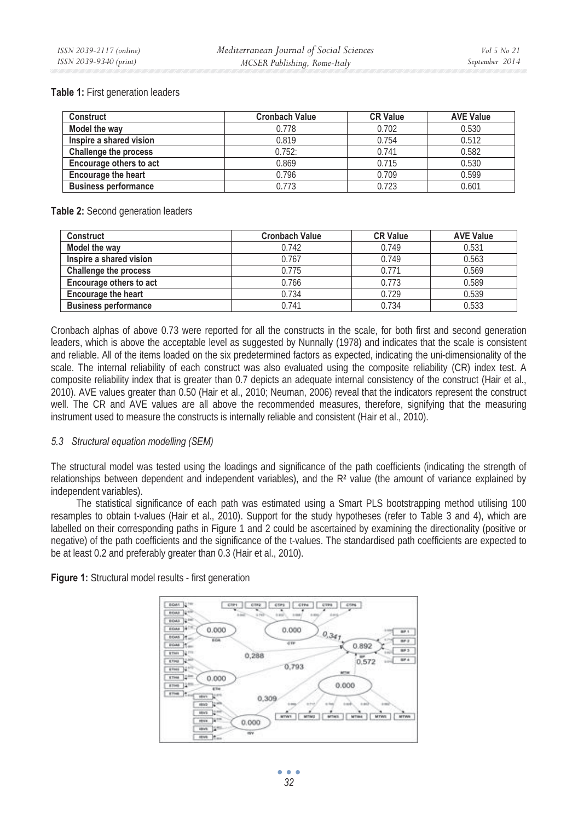#### **Table 1:** First generation leaders

| <b>Construct</b>            | <b>Cronbach Value</b> | <b>CR Value</b> | <b>AVE Value</b> |
|-----------------------------|-----------------------|-----------------|------------------|
| Model the way               | 0.778                 | 0.702           | 0.530            |
| Inspire a shared vision     | 0.819                 | 0.754           | 0.512            |
| Challenge the process       | 0.752:                | 0.741           | 0.582            |
| Encourage others to act     | 0.869                 | 0.715           | 0.530            |
| <b>Encourage the heart</b>  | 0.796                 | 0.709           | 0.599            |
| <b>Business performance</b> | 0.773                 | 0.723           | 0.601            |

**Table 2:** Second generation leaders

| Construct                   | <b>Cronbach Value</b> | <b>CR Value</b> | <b>AVE Value</b> |
|-----------------------------|-----------------------|-----------------|------------------|
| Model the way               | 0.742                 | 0.749           | 0.531            |
| Inspire a shared vision     | 0.767                 | 0.749           | 0.563            |
| Challenge the process       | 0.775                 | 0.771           | 0.569            |
| Encourage others to act     | 0.766                 | 0.773           | 0.589            |
| <b>Encourage the heart</b>  | 0.734                 | 0.729           | 0.539            |
| <b>Business performance</b> | 0.741                 | 0.734           | 0.533            |

Cronbach alphas of above 0.73 were reported for all the constructs in the scale, for both first and second generation leaders, which is above the acceptable level as suggested by Nunnally (1978) and indicates that the scale is consistent and reliable. All of the items loaded on the six predetermined factors as expected, indicating the uni-dimensionality of the scale. The internal reliability of each construct was also evaluated using the composite reliability (CR) index test. A composite reliability index that is greater than 0.7 depicts an adequate internal consistency of the construct (Hair et al., 2010). AVE values greater than 0.50 (Hair et al., 2010; Neuman, 2006) reveal that the indicators represent the construct well. The CR and AVE values are all above the recommended measures, therefore, signifying that the measuring instrument used to measure the constructs is internally reliable and consistent (Hair et al., 2010).

### *5.3 Structural equation modelling (SEM)*

The structural model was tested using the loadings and significance of the path coefficients (indicating the strength of relationships between dependent and independent variables), and the  $R<sup>2</sup>$  value (the amount of variance explained by independent variables).

The statistical significance of each path was estimated using a Smart PLS bootstrapping method utilising 100 resamples to obtain t-values (Hair et al., 2010). Support for the study hypotheses (refer to Table 3 and 4), which are labelled on their corresponding paths in Figure 1 and 2 could be ascertained by examining the directionality (positive or negative) of the path coefficients and the significance of the t-values. The standardised path coefficients are expected to be at least 0.2 and preferably greater than 0.3 (Hair et al., 2010).

**Figure 1:** Structural model results - first generation

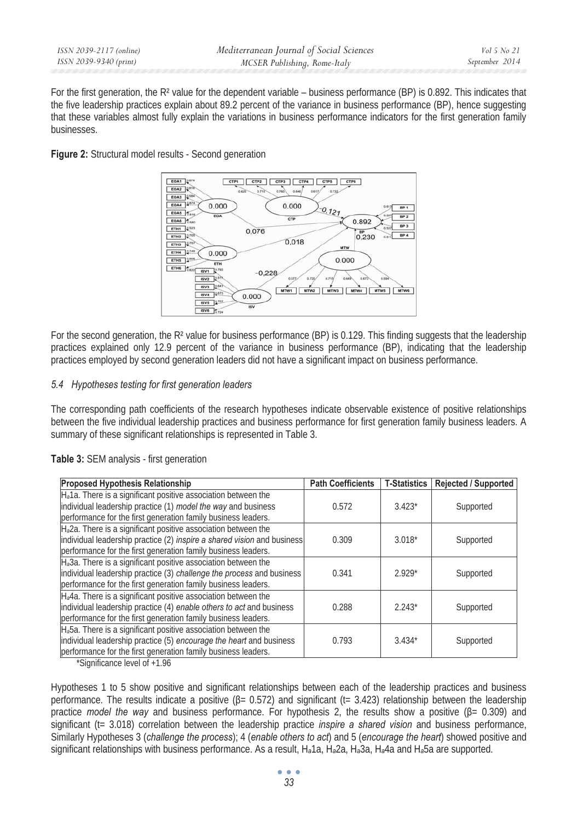| ISSN 2039-2117 (online) | Mediterranean Journal of Social Sciences | Vol 5 No 21    |
|-------------------------|------------------------------------------|----------------|
| ISSN 2039-9340 (print)  | MCSER Publishing, Rome-Italy             | September 2014 |

For the first generation, the  $R<sup>2</sup>$  value for the dependent variable – business performance (BP) is 0.892. This indicates that the five leadership practices explain about 89.2 percent of the variance in business performance (BP), hence suggesting that these variables almost fully explain the variations in business performance indicators for the first generation family businesses.

## **Figure 2:** Structural model results - Second generation



For the second generation, the R<sup>2</sup> value for business performance (BP) is 0.129. This finding suggests that the leadership practices explained only 12.9 percent of the variance in business performance (BP), indicating that the leadership practices employed by second generation leaders did not have a significant impact on business performance.

# *5.4 Hypotheses testing for first generation leaders*

The corresponding path coefficients of the research hypotheses indicate observable existence of positive relationships between the five individual leadership practices and business performance for first generation family business leaders. A summary of these significant relationships is represented in Table 3.

| <b>Proposed Hypothesis Relationship</b>                                    | <b>Path Coefficients</b> | <b>T-Statistics</b> | <b>Rejected / Supported</b> |
|----------------------------------------------------------------------------|--------------------------|---------------------|-----------------------------|
| H <sub>a</sub> 1a. There is a significant positive association between the |                          |                     |                             |
| individual leadership practice (1) model the way and business              | 0.572                    | $3.423*$            | Supported                   |
| performance for the first generation family business leaders.              |                          |                     |                             |
| H <sub>a</sub> 2a. There is a significant positive association between the |                          |                     |                             |
| individual leadership practice (2) inspire a shared vision and business    | 0.309                    | $3.018*$            | Supported                   |
| performance for the first generation family business leaders.              |                          |                     |                             |
| H <sub>a</sub> 3a. There is a significant positive association between the |                          |                     |                             |
| individual leadership practice (3) challenge the process and business      | 0.341                    | $2.929*$            | Supported                   |
| performance for the first generation family business leaders.              |                          |                     |                             |
| $Ha4a$ . There is a significant positive association between the           |                          |                     |                             |
| individual leadership practice (4) enable others to act and business       | 0.288                    | $2.243*$            | Supported                   |
| performance for the first generation family business leaders.              |                          |                     |                             |
| H <sub>a</sub> 5a. There is a significant positive association between the |                          |                     |                             |
| individual leadership practice (5) encourage the heart and business        | 0.793                    | $3.434*$            | Supported                   |
| performance for the first generation family business leaders.              |                          |                     |                             |
| *Significance level of +1.96                                               |                          |                     |                             |

**Table 3:** SEM analysis - first generation

Hypotheses 1 to 5 show positive and significant relationships between each of the leadership practices and business performance. The results indicate a positive  $(\beta = 0.572)$  and significant (t= 3.423) relationship between the leadership practice *model the way* and business performance. For hypothesis 2, the results show a positive  $(\beta = 0.309)$  and significant (t= 3.018) correlation between the leadership practice *inspire a shared vision* and business performance, Similarly Hypotheses 3 (*challenge the process*); 4 (*enable others to act*) and 5 (*encourage the heart*) showed positive and significant relationships with business performance. As a result, H*a*1a, H*a*2a, H*a*3a, H*a*4a and H*a*5a are supported.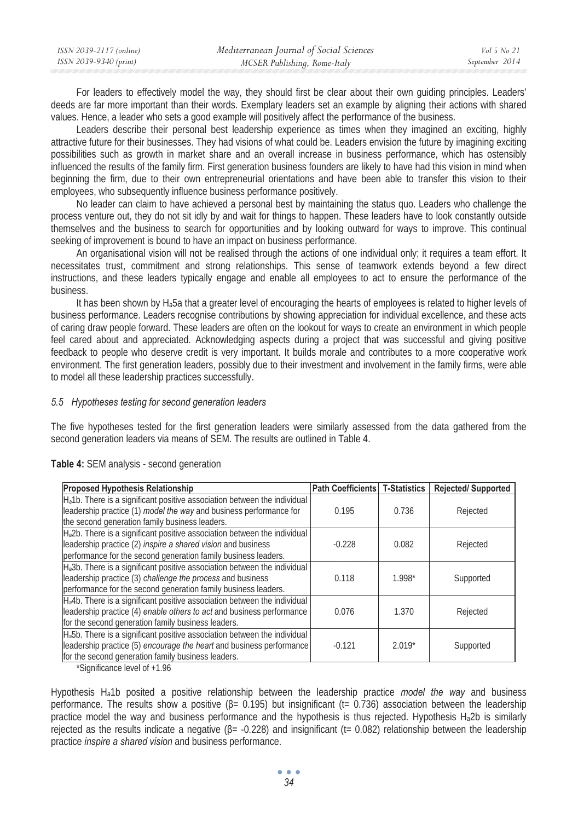| ISSN 2039-9340 (print)<br>September 2014<br>MCSER Publishing, Rome-Italy |  |
|--------------------------------------------------------------------------|--|

For leaders to effectively model the way, they should first be clear about their own guiding principles. Leaders' deeds are far more important than their words. Exemplary leaders set an example by aligning their actions with shared values. Hence, a leader who sets a good example will positively affect the performance of the business.

Leaders describe their personal best leadership experience as times when they imagined an exciting, highly attractive future for their businesses. They had visions of what could be. Leaders envision the future by imagining exciting possibilities such as growth in market share and an overall increase in business performance, which has ostensibly influenced the results of the family firm. First generation business founders are likely to have had this vision in mind when beginning the firm, due to their own entrepreneurial orientations and have been able to transfer this vision to their employees, who subsequently influence business performance positively.

No leader can claim to have achieved a personal best by maintaining the status quo. Leaders who challenge the process venture out, they do not sit idly by and wait for things to happen. These leaders have to look constantly outside themselves and the business to search for opportunities and by looking outward for ways to improve. This continual seeking of improvement is bound to have an impact on business performance.

An organisational vision will not be realised through the actions of one individual only; it requires a team effort. It necessitates trust, commitment and strong relationships. This sense of teamwork extends beyond a few direct instructions, and these leaders typically engage and enable all employees to act to ensure the performance of the business.

It has been shown by H*a*5a that a greater level of encouraging the hearts of employees is related to higher levels of business performance. Leaders recognise contributions by showing appreciation for individual excellence, and these acts of caring draw people forward. These leaders are often on the lookout for ways to create an environment in which people feel cared about and appreciated. Acknowledging aspects during a project that was successful and giving positive feedback to people who deserve credit is very important. It builds morale and contributes to a more cooperative work environment. The first generation leaders, possibly due to their investment and involvement in the family firms, were able to model all these leadership practices successfully.

### *5.5 Hypotheses testing for second generation leaders*

The five hypotheses tested for the first generation leaders were similarly assessed from the data gathered from the second generation leaders via means of SEM. The results are outlined in Table 4.

| Proposed Hypothesis Relationship                                                      | <b>Path Coefficients</b> | <b>T-Statistics</b> | <b>Rejected/Supported</b> |
|---------------------------------------------------------------------------------------|--------------------------|---------------------|---------------------------|
| $H_a$ 1b. There is a significant positive association between the individual          |                          |                     |                           |
| leadership practice (1) model the way and business performance for                    | 0.195                    | 0.736               | Rejected                  |
| the second generation family business leaders.                                        |                          |                     |                           |
| $Ha$ 2b. There is a significant positive association between the individual           |                          |                     |                           |
| leadership practice (2) inspire a shared vision and business                          | $-0.228$                 | 0.082               | Rejected                  |
| performance for the second generation family business leaders.                        |                          |                     |                           |
| $H_a$ 3b. There is a significant positive association between the individual          |                          |                     |                           |
| leadership practice (3) challenge the process and business                            | 0.118                    | 1.998*              | Supported                 |
| performance for the second generation family business leaders.                        |                          |                     |                           |
| $Ha4b$ . There is a significant positive association between the individual           |                          |                     |                           |
| leadership practice (4) enable others to act and business performance                 | 0.076                    | 1.370               | Rejected                  |
| for the second generation family business leaders.                                    |                          |                     |                           |
| H <sub>a</sub> 5b. There is a significant positive association between the individual |                          |                     |                           |
| leadership practice (5) encourage the heart and business performance                  | $-0.121$                 | $2.019*$            | Supported                 |
| for the second generation family business leaders.                                    |                          |                     |                           |

#### **Table 4:** SEM analysis - second generation

\*Significance level of +1.96

Hypothesis H*a*1b posited a positive relationship between the leadership practice *model the way* and business performance. The results show a positive  $(\beta = 0.195)$  but insignificant (t= 0.736) association between the leadership practice model the way and business performance and the hypothesis is thus rejected. Hypothesis Ha2b is similarly rejected as the results indicate a negative  $(\beta = -0.228)$  and insignificant (t= 0.082) relationship between the leadership practice *inspire a shared vision* and business performance.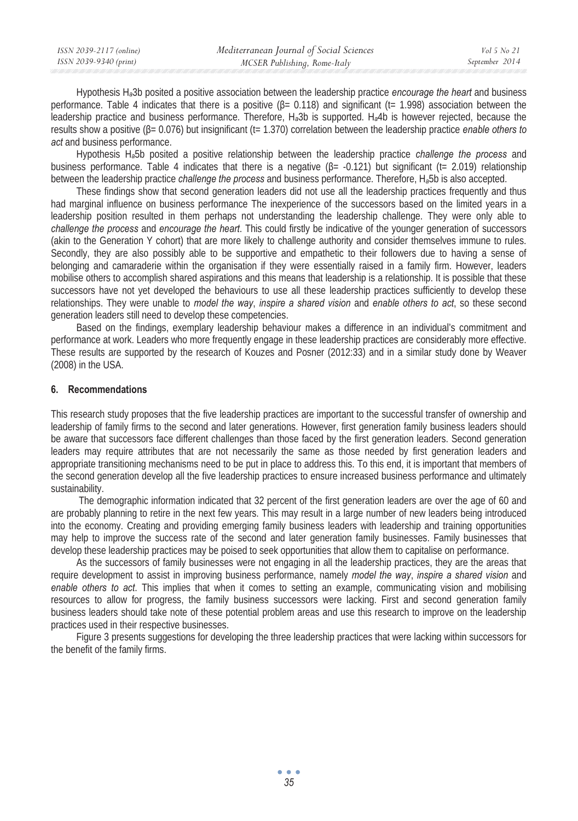| ISSN 2039-2117 (online) | Mediterranean Journal of Social Sciences | Vol 5 No 21    |
|-------------------------|------------------------------------------|----------------|
| ISSN 2039-9340 (print)  | MCSER Publishing, Rome-Italy             | September 2014 |

Hypothesis H*a*3b posited a positive association between the leadership practice *encourage the heart* and business performance. Table 4 indicates that there is a positive  $(\beta = 0.118)$  and significant ( $t = 1.998$ ) association between the leadership practice and business performance. Therefore, H*a*3b is supported. H*a*4b is however rejected, because the results show a positive (ȕ= 0.076) but insignificant (t= 1.370) correlation between the leadership practice *enable others to act* and business performance.

Hypothesis H*a*5b posited a positive relationship between the leadership practice *challenge the process* and business performance. Table 4 indicates that there is a negative  $(\beta = -0.121)$  but significant (t= 2.019) relationship between the leadership practice *challenge the process* and business performance. Therefore, H*a*5b is also accepted.

These findings show that second generation leaders did not use all the leadership practices frequently and thus had marginal influence on business performance The inexperience of the successors based on the limited years in a leadership position resulted in them perhaps not understanding the leadership challenge. They were only able to *challenge the process* and *encourage the heart*. This could firstly be indicative of the younger generation of successors (akin to the Generation Y cohort) that are more likely to challenge authority and consider themselves immune to rules. Secondly, they are also possibly able to be supportive and empathetic to their followers due to having a sense of belonging and camaraderie within the organisation if they were essentially raised in a family firm. However, leaders mobilise others to accomplish shared aspirations and this means that leadership is a relationship. It is possible that these successors have not yet developed the behaviours to use all these leadership practices sufficiently to develop these relationships. They were unable to *model the way*, *inspire a shared vision* and *enable others to act*, so these second generation leaders still need to develop these competencies.

Based on the findings, exemplary leadership behaviour makes a difference in an individual's commitment and performance at work. Leaders who more frequently engage in these leadership practices are considerably more effective. These results are supported by the research of Kouzes and Posner (2012:33) and in a similar study done by Weaver (2008) in the USA.

#### **6. Recommendations**

This research study proposes that the five leadership practices are important to the successful transfer of ownership and leadership of family firms to the second and later generations. However, first generation family business leaders should be aware that successors face different challenges than those faced by the first generation leaders. Second generation leaders may require attributes that are not necessarily the same as those needed by first generation leaders and appropriate transitioning mechanisms need to be put in place to address this. To this end, it is important that members of the second generation develop all the five leadership practices to ensure increased business performance and ultimately sustainability.

 The demographic information indicated that 32 percent of the first generation leaders are over the age of 60 and are probably planning to retire in the next few years. This may result in a large number of new leaders being introduced into the economy. Creating and providing emerging family business leaders with leadership and training opportunities may help to improve the success rate of the second and later generation family businesses. Family businesses that develop these leadership practices may be poised to seek opportunities that allow them to capitalise on performance.

As the successors of family businesses were not engaging in all the leadership practices, they are the areas that require development to assist in improving business performance, namely *model the way*, *inspire a shared vision* and *enable others to act*. This implies that when it comes to setting an example, communicating vision and mobilising resources to allow for progress, the family business successors were lacking. First and second generation family business leaders should take note of these potential problem areas and use this research to improve on the leadership practices used in their respective businesses.

Figure 3 presents suggestions for developing the three leadership practices that were lacking within successors for the benefit of the family firms.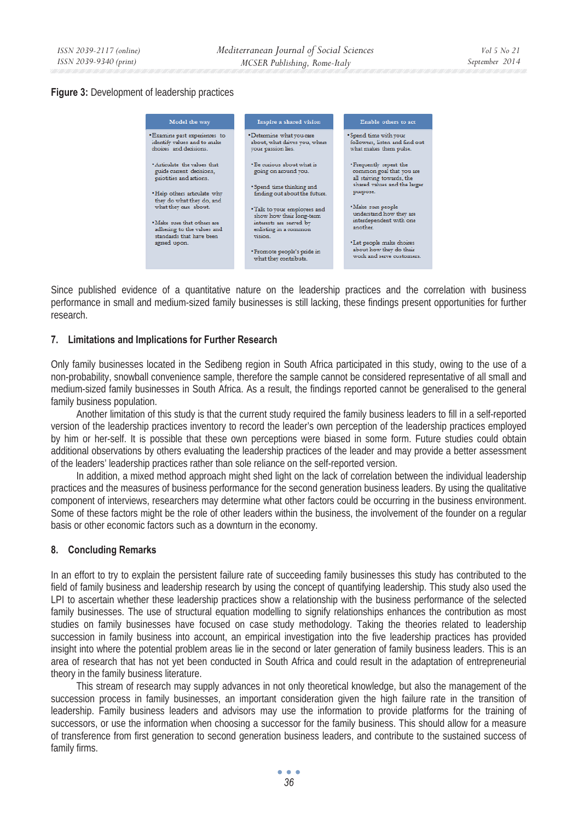# **Figure 3:** Development of leadership practices

| Model the way                                                                                         | Inspire a shared vision                                                                   | Enable others to act                                                                                            |
|-------------------------------------------------------------------------------------------------------|-------------------------------------------------------------------------------------------|-----------------------------------------------------------------------------------------------------------------|
| *Examine past experiences to<br>identify values and to make<br>choices and decisions.                 | . Determine what you care<br>about, what drives you, where<br>your passion lies.          | *Spend time with your<br>followers, listen and find out<br>what makes them pulse.                               |
| *Articulate the values that<br>guide current decisions.<br>priotities and actions.                    | . Be curious about what is<br>going on around you.<br>*Spend time thinking and            | *Frequently repeat the<br>common goal that you are<br>all striving towards, the<br>shared values and the larger |
| . Help others articulate why<br>they do what they do, and<br>what they care about.                    | finding out about the future.<br>. Talk to your employees and<br>show how their long-term | purpose.<br>*Make sure people<br>understand how they are                                                        |
| . Make sure that others are<br>adhering to the values and<br>standards that have been<br>agreed upon. | interests are served by<br>enlisting in a common<br>trision.                              | interdependent with one<br>another.<br>*Let people make choices                                                 |
|                                                                                                       | *Promote people's pride in<br>what they contribute.                                       | about how they do their<br>work and serve customers.                                                            |

Since published evidence of a quantitative nature on the leadership practices and the correlation with business performance in small and medium-sized family businesses is still lacking, these findings present opportunities for further research.

### **7. Limitations and Implications for Further Research**

Only family businesses located in the Sedibeng region in South Africa participated in this study, owing to the use of a non-probability, snowball convenience sample, therefore the sample cannot be considered representative of all small and medium-sized family businesses in South Africa. As a result, the findings reported cannot be generalised to the general family business population.

Another limitation of this study is that the current study required the family business leaders to fill in a self-reported version of the leadership practices inventory to record the leader's own perception of the leadership practices employed by him or her-self. It is possible that these own perceptions were biased in some form. Future studies could obtain additional observations by others evaluating the leadership practices of the leader and may provide a better assessment of the leaders' leadership practices rather than sole reliance on the self-reported version.

In addition, a mixed method approach might shed light on the lack of correlation between the individual leadership practices and the measures of business performance for the second generation business leaders. By using the qualitative component of interviews, researchers may determine what other factors could be occurring in the business environment. Some of these factors might be the role of other leaders within the business, the involvement of the founder on a regular basis or other economic factors such as a downturn in the economy.

### **8. Concluding Remarks**

In an effort to try to explain the persistent failure rate of succeeding family businesses this study has contributed to the field of family business and leadership research by using the concept of quantifying leadership. This study also used the LPI to ascertain whether these leadership practices show a relationship with the business performance of the selected family businesses. The use of structural equation modelling to signify relationships enhances the contribution as most studies on family businesses have focused on case study methodology. Taking the theories related to leadership succession in family business into account, an empirical investigation into the five leadership practices has provided insight into where the potential problem areas lie in the second or later generation of family business leaders. This is an area of research that has not yet been conducted in South Africa and could result in the adaptation of entrepreneurial theory in the family business literature.

This stream of research may supply advances in not only theoretical knowledge, but also the management of the succession process in family businesses, an important consideration given the high failure rate in the transition of leadership. Family business leaders and advisors may use the information to provide platforms for the training of successors, or use the information when choosing a successor for the family business. This should allow for a measure of transference from first generation to second generation business leaders, and contribute to the sustained success of family firms.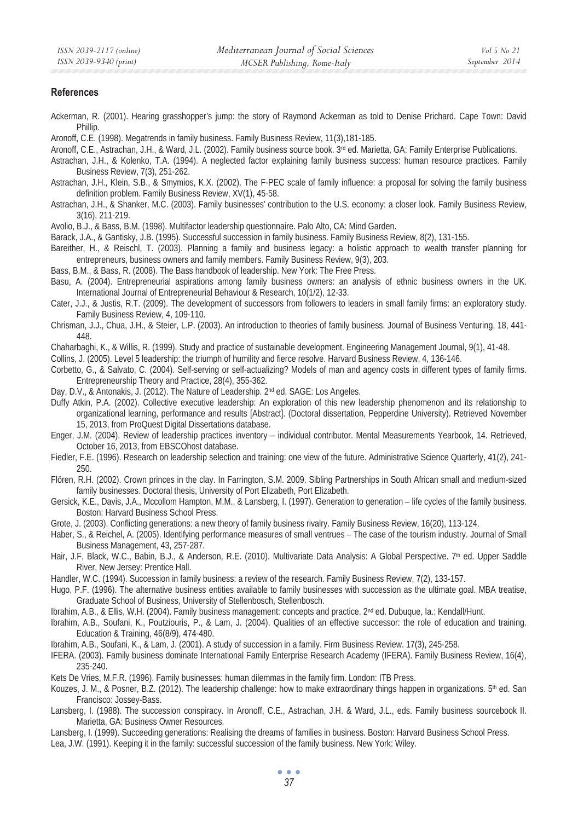#### **References**

- Ackerman, R. (2001). Hearing grasshopper's jump: the story of Raymond Ackerman as told to Denise Prichard. Cape Town: David **Phillin**
- Aronoff, C.E. (1998). Megatrends in family business. Family Business Review, 11(3),181-185.
- Aronoff, C.E., Astrachan, J.H., & Ward, J.L. (2002). Family business source book. 3rd ed. Marietta, GA: Family Enterprise Publications.
- Astrachan, J.H., & Kolenko, T.A. (1994). A neglected factor explaining family business success: human resource practices. Family Business Review, 7(3), 251-262.
- Astrachan, J.H., Klein, S.B., & Smymios, K.X. (2002). The F-PEC scale of family influence: a proposal for solving the family business definition problem. Family Business Review, XV(1), 45-58.
- Astrachan, J.H., & Shanker, M.C. (2003). Family businesses' contribution to the U.S. economy: a closer look. Family Business Review, 3(16), 211-219.
- Avolio, B.J., & Bass, B.M. (1998). Multifactor leadership questionnaire. Palo Alto, CA: Mind Garden.
- Barack, J.A., & Gantisky, J.B. (1995). Successful succession in family business. Family Business Review, 8(2), 131-155.
- Bareither, H., & Reischl, T. (2003). Planning a family and business legacy: a holistic approach to wealth transfer planning for entrepreneurs, business owners and family members. Family Business Review, 9(3), 203.
- Bass, B.M., & Bass, R. (2008). The Bass handbook of leadership. New York: The Free Press.
- Basu, A. (2004). Entrepreneurial aspirations among family business owners: an analysis of ethnic business owners in the UK. International Journal of Entrepreneurial Behaviour & Research, 10(1/2), 12-33.
- Cater, J.J., & Justis, R.T. (2009). The development of successors from followers to leaders in small family firms: an exploratory study. Family Business Review, 4, 109-110.
- Chrisman, J.J., Chua, J.H., & Steier, L.P. (2003). An introduction to theories of family business. Journal of Business Venturing, 18, 441- 448.

Chaharbaghi, K., & Willis, R. (1999). Study and practice of sustainable development. Engineering Management Journal, 9(1), 41-48.

Collins, J. (2005). Level 5 leadership: the triumph of humility and fierce resolve. Harvard Business Review, 4, 136-146.

- Corbetto, G., & Salvato, C. (2004). Self-serving or self-actualizing? Models of man and agency costs in different types of family firms. Entrepreneurship Theory and Practice, 28(4), 355-362.
- Day, D.V., & Antonakis, J. (2012). The Nature of Leadership. 2<sup>nd</sup> ed. SAGE: Los Angeles.
- Duffy Atkin, P.A. (2002). Collective executive leadership: An exploration of this new leadership phenomenon and its relationship to organizational learning, performance and results [Abstract]. (Doctoral dissertation, Pepperdine University). Retrieved November 15, 2013, from ProQuest Digital Dissertations database.
- Enger, J.M. (2004). Review of leadership practices inventory individual contributor. Mental Measurements Yearbook, 14. Retrieved, October 16, 2013, from EBSCOhost database.
- Fiedler, F.E. (1996). Research on leadership selection and training: one view of the future. Administrative Science Quarterly, 41(2), 241- 250.
- Flören, R.H. (2002). Crown princes in the clay. In Farrington, S.M. 2009. Sibling Partnerships in South African small and medium-sized family businesses. Doctoral thesis, University of Port Elizabeth, Port Elizabeth.
- Gersick, K.E., Davis, J.A., Mccollom Hampton, M.M., & Lansberg, I. (1997). Generation to generation life cycles of the family business. Boston: Harvard Business School Press.
- Grote, J. (2003). Conflicting generations: a new theory of family business rivalry. Family Business Review, 16(20), 113-124.
- Haber, S., & Reichel, A. (2005). Identifying performance measures of small ventrues The case of the tourism industry. Journal of Small Business Management, 43, 257-287.
- Hair, J.F, Black, W.C., Babin, B.J., & Anderson, R.E. (2010). Multivariate Data Analysis: A Global Perspective. 7<sup>th</sup> ed. Upper Saddle River, New Jersey: Prentice Hall.
- Handler, W.C. (1994). Succession in family business: a review of the research. Family Business Review, 7(2), 133-157.
- Hugo, P.F. (1996). The alternative business entities available to family businesses with succession as the ultimate goal. MBA treatise, Graduate School of Business, University of Stellenbosch, Stellenbosch.
- Ibrahim, A.B., & Ellis, W.H. (2004). Family business management: concepts and practice. 2nd ed. Dubuque, Ia.: Kendall/Hunt.
- Ibrahim, A.B., Soufani, K., Poutziouris, P., & Lam, J. (2004). Qualities of an effective successor: the role of education and training. Education & Training, 46(8/9), 474-480.
- Ibrahim, A.B., Soufani, K., & Lam, J. (2001). A study of succession in a family. Firm Business Review. 17(3), 245-258.
- IFERA. (2003). Family business dominate International Family Enterprise Research Academy (IFERA). Family Business Review, 16(4), 235-240.
- Kets De Vries, M.F.R. (1996). Family businesses: human dilemmas in the family firm. London: ITB Press.
- Kouzes, J. M., & Posner, B.Z. (2012). The leadership challenge: how to make extraordinary things happen in organizations. 5<sup>th</sup> ed. San Francisco: Jossey-Bass.
- Lansberg, I. (1988). The succession conspiracy. In Aronoff, C.E., Astrachan, J.H. & Ward, J.L., eds. Family business sourcebook II. Marietta, GA: Business Owner Resources.
- Lansberg, I. (1999). Succeeding generations: Realising the dreams of families in business. Boston: Harvard Business School Press.
- Lea, J.W. (1991). Keeping it in the family: successful succession of the family business. New York: Wiley.